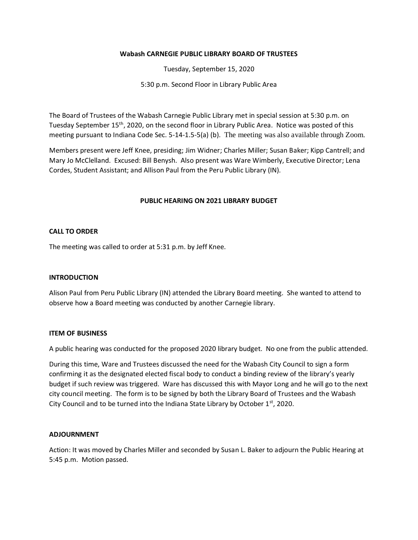## **Wabash CARNEGIE PUBLIC LIBRARY BOARD OF TRUSTEES**

Tuesday, September 15, 2020

5:30 p.m. Second Floor in Library Public Area

The Board of Trustees of the Wabash Carnegie Public Library met in special session at 5:30 p.m. on Tuesday September 15<sup>th</sup>, 2020, on the second floor in Library Public Area. Notice was posted of this meeting pursuant to Indiana Code Sec. 5-14-1.5-5(a) (b). The meeting was also available through Zoom.

Members present were Jeff Knee, presiding; Jim Widner; Charles Miller; Susan Baker; Kipp Cantrell; and Mary Jo McClelland. Excused: Bill Benysh. Also present was Ware Wimberly, Executive Director; Lena Cordes, Student Assistant; and Allison Paul from the Peru Public Library (IN).

# **PUBLIC HEARING ON 2021 LIBRARY BUDGET**

## **CALL TO ORDER**

The meeting was called to order at 5:31 p.m. by Jeff Knee.

#### **INTRODUCTION**

Alison Paul from Peru Public Library (IN) attended the Library Board meeting. She wanted to attend to observe how a Board meeting was conducted by another Carnegie library.

#### **ITEM OF BUSINESS**

A public hearing was conducted for the proposed 2020 library budget. No one from the public attended.

During this time, Ware and Trustees discussed the need for the Wabash City Council to sign a form confirming it as the designated elected fiscal body to conduct a binding review of the library's yearly budget if such review was triggered. Ware has discussed this with Mayor Long and he will go to the next city council meeting. The form is to be signed by both the Library Board of Trustees and the Wabash City Council and to be turned into the Indiana State Library by October  $1<sup>st</sup>$ , 2020.

#### **ADJOURNMENT**

Action: It was moved by Charles Miller and seconded by Susan L. Baker to adjourn the Public Hearing at 5:45 p.m. Motion passed.